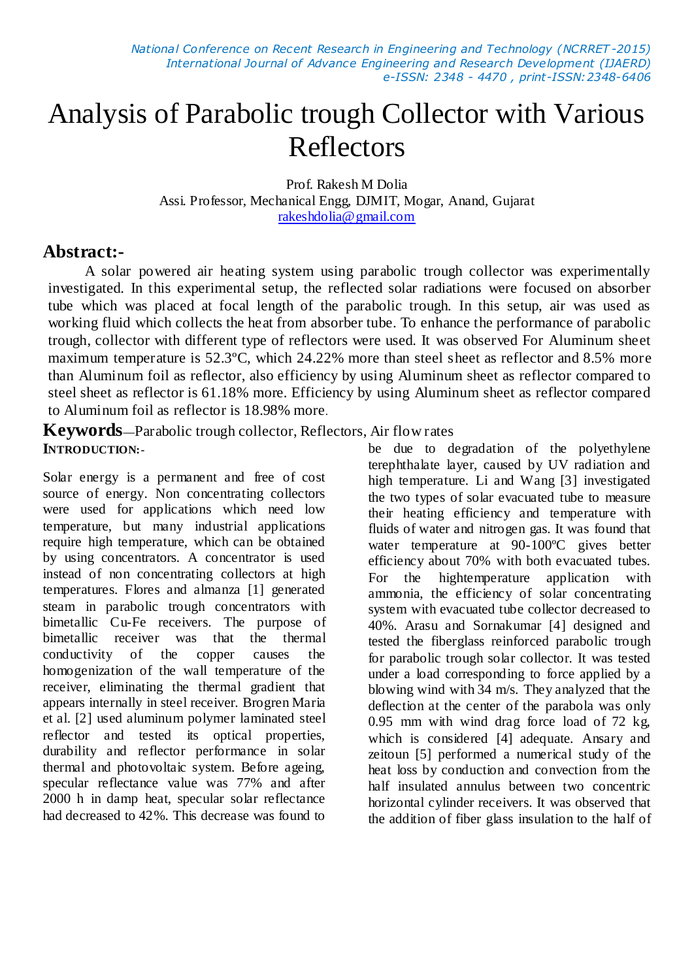# Analysis of Parabolic trough Collector with Various Reflectors

Prof. Rakesh M Dolia Assi. Professor, Mechanical Engg, DJMIT, Mogar, Anand, Gujarat [rakeshdolia@gmail.com](mailto:rakeshdolia@gmail.com)

# **Abstract:-**

A solar powered air heating system using parabolic trough collector was experimentally investigated. In this experimental setup, the reflected solar radiations were focused on absorber tube which was placed at focal length of the parabolic trough. In this setup, air was used as working fluid which collects the heat from absorber tube. To enhance the performance of parabolic trough, collector with different type of reflectors were used. It was observed For Aluminum sheet maximum temperature is 52.3ºC, which 24.22% more than steel sheet as reflector and 8.5% more than Aluminum foil as reflector, also efficiency by using Aluminum sheet as reflector compared to steel sheet as reflector is 61.18% more. Efficiency by using Aluminum sheet as reflector compared to Aluminum foil as reflector is 18.98% more.

**Keywords—**Parabolic trough collector, Reflectors, Air flow rates **INTRODUCTION:-**

Solar energy is a permanent and free of cost source of energy. Non concentrating collectors were used for applications which need low temperature, but many industrial applications require high temperature, which can be obtained by using concentrators. A concentrator is used instead of non concentrating collectors at high temperatures. Flores and almanza [1] generated steam in parabolic trough concentrators with bimetallic Cu-Fe receivers. The purpose of bimetallic receiver was that the thermal conductivity of the copper causes the homogenization of the wall temperature of the receiver, eliminating the thermal gradient that appears internally in steel receiver. Brogren Maria et al. [2] used aluminum polymer laminated steel reflector and tested its optical properties, durability and reflector performance in solar thermal and photovoltaic system. Before ageing, specular reflectance value was 77% and after 2000 h in damp heat, specular solar reflectance had decreased to 42%. This decrease was found to

be due to degradation of the polyethylene terephthalate layer, caused by UV radiation and high temperature. Li and Wang [3] investigated the two types of solar evacuated tube to measure their heating efficiency and temperature with fluids of water and nitrogen gas. It was found that water temperature at 90-100ºC gives better efficiency about 70% with both evacuated tubes. For the hightemperature application with ammonia, the efficiency of solar concentrating system with evacuated tube collector decreased to 40%. Arasu and Sornakumar [4] designed and tested the fiberglass reinforced parabolic trough for parabolic trough solar collector. It was tested under a load corresponding to force applied by a blowing wind with 34 m/s. They analyzed that the deflection at the center of the parabola was only 0.95 mm with wind drag force load of 72 kg, which is considered [4] adequate. Ansary and zeitoun [5] performed a numerical study of the heat loss by conduction and convection from the half insulated annulus between two concentric horizontal cylinder receivers. It was observed that the addition of fiber glass insulation to the half of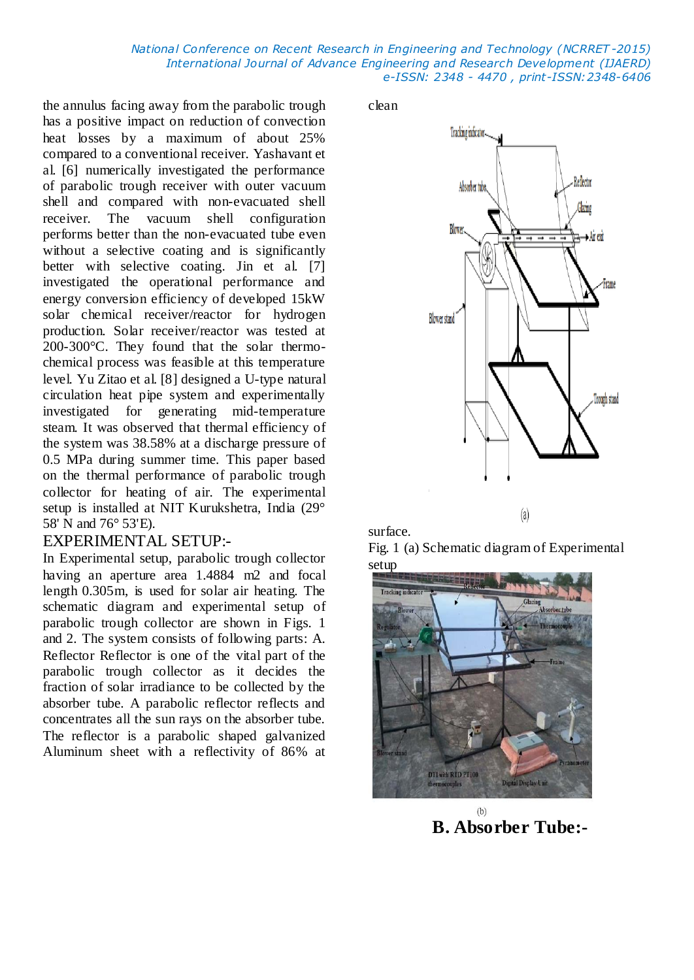the annulus facing away from the parabolic trough has a positive impact on reduction of convection heat losses by a maximum of about 25% compared to a conventional receiver. Yashavant et al. [6] numerically investigated the performance of parabolic trough receiver with outer vacuum shell and compared with non-evacuated shell receiver. The vacuum shell configuration performs better than the non-evacuated tube even without a selective coating and is significantly better with selective coating. Jin et al. [7] investigated the operational performance and energy conversion efficiency of developed 15kW solar chemical receiver/reactor for hydrogen production. Solar receiver/reactor was tested at 200-300°C. They found that the solar thermochemical process was feasible at this temperature level. Yu Zitao et al. [8] designed a U-type natural circulation heat pipe system and experimentally investigated for generating mid-temperature steam. It was observed that thermal efficiency of the system was 38.58% at a discharge pressure of 0.5 MPa during summer time. This paper based on the thermal performance of parabolic trough collector for heating of air. The experimental setup is installed at NIT Kurukshetra, India (29° 58' N and 76° 53'E).

#### EXPERIMENTAL SETUP:-

In Experimental setup, parabolic trough collector having an aperture area 1.4884 m2 and focal length 0.305m, is used for solar air heating. The schematic diagram and experimental setup of parabolic trough collector are shown in Figs. 1 and 2. The system consists of following parts: A. Reflector Reflector is one of the vital part of the parabolic trough collector as it decides the fraction of solar irradiance to be collected by the absorber tube. A parabolic reflector reflects and concentrates all the sun rays on the absorber tube. The reflector is a parabolic shaped galvanized Aluminum sheet with a reflectivity of 86% at

clean





Fig. 1 (a) Schematic diagram of Experimental setup



 $(b)$ **B. Absorber Tube:-**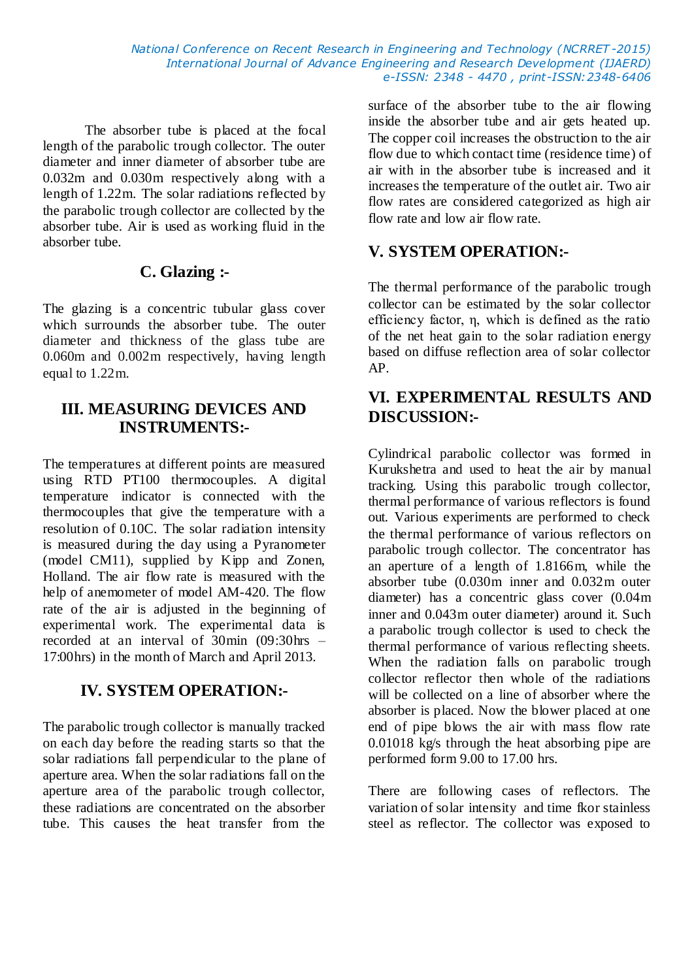The absorber tube is placed at the focal length of the parabolic trough collector. The outer diameter and inner diameter of absorber tube are 0.032m and 0.030m respectively along with a length of 1.22m. The solar radiations reflected by the parabolic trough collector are collected by the absorber tube. Air is used as working fluid in the absorber tube.

#### **C. Glazing :-**

The glazing is a concentric tubular glass cover which surrounds the absorber tube. The outer diameter and thickness of the glass tube are 0.060m and 0.002m respectively, having length equal to 1.22m.

#### **III. MEASURING DEVICES AND INSTRUMENTS:-**

The temperatures at different points are measured using RTD PT100 thermocouples. A digital temperature indicator is connected with the thermocouples that give the temperature with a resolution of 0.10C. The solar radiation intensity is measured during the day using a Pyranometer (model CM11), supplied by Kipp and Zonen, Holland. The air flow rate is measured with the help of anemometer of model AM-420. The flow rate of the air is adjusted in the beginning of experimental work. The experimental data is recorded at an interval of 30min (09:30hrs – 17:00hrs) in the month of March and April 2013.

# **IV. SYSTEM OPERATION:-**

The parabolic trough collector is manually tracked on each day before the reading starts so that the solar radiations fall perpendicular to the plane of aperture area. When the solar radiations fall on the aperture area of the parabolic trough collector, these radiations are concentrated on the absorber tube. This causes the heat transfer from the

surface of the absorber tube to the air flowing inside the absorber tube and air gets heated up. The copper coil increases the obstruction to the air flow due to which contact time (residence time) of air with in the absorber tube is increased and it increases the temperature of the outlet air. Two air flow rates are considered categorized as high air flow rate and low air flow rate.

# **V. SYSTEM OPERATION:-**

The thermal performance of the parabolic trough collector can be estimated by the solar collector efficiency factor, η, which is defined as the ratio of the net heat gain to the solar radiation energy based on diffuse reflection area of solar collector AP.

## **VI. EXPERIMENTAL RESULTS AND DISCUSSION:-**

Cylindrical parabolic collector was formed in Kurukshetra and used to heat the air by manual tracking. Using this parabolic trough collector, thermal performance of various reflectors is found out. Various experiments are performed to check the thermal performance of various reflectors on parabolic trough collector. The concentrator has an aperture of a length of 1.8166m, while the absorber tube (0.030m inner and 0.032m outer diameter) has a concentric glass cover (0.04m inner and 0.043m outer diameter) around it. Such a parabolic trough collector is used to check the thermal performance of various reflecting sheets. When the radiation falls on parabolic trough collector reflector then whole of the radiations will be collected on a line of absorber where the absorber is placed. Now the blower placed at one end of pipe blows the air with mass flow rate 0.01018 kg/s through the heat absorbing pipe are performed form 9.00 to 17.00 hrs.

There are following cases of reflectors. The variation of solar intensity and time fkor stainless steel as reflector. The collector was exposed to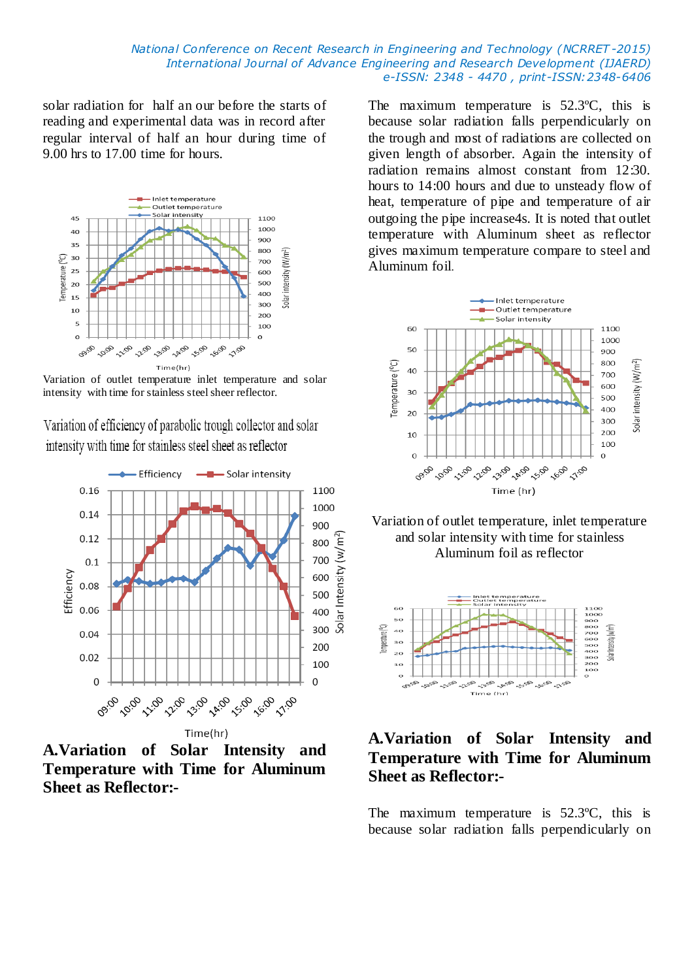solar radiation for half an our before the starts of reading and experimental data was in record after regular interval of half an hour during time of 9.00 hrs to 17.00 time for hours.



Variation of outlet temperature inlet temperature and solar intensity with time for stainless steel sheer reflector.

Variation of efficiency of parabolic trough collector and solar intensity with time for stainless steel sheet as reflector



**A.Variation of Solar Intensity and Temperature with Time for Aluminum Sheet as Reflector:-**

The maximum temperature is 52.3ºC, this is because solar radiation falls perpendicularly on the trough and most of radiations are collected on given length of absorber. Again the intensity of radiation remains almost constant from 12:30. hours to 14:00 hours and due to unsteady flow of heat, temperature of pipe and temperature of air outgoing the pipe increase4s. It is noted that outlet temperature with Aluminum sheet as reflector gives maximum temperature compare to steel and Aluminum foil.



Variation of outlet temperature, inlet temperature and solar intensity with time for stainless Aluminum foil as reflector



## **A.Variation of Solar Intensity and Temperature with Time for Aluminum Sheet as Reflector:-**

The maximum temperature is 52.3ºC, this is because solar radiation falls perpendicularly on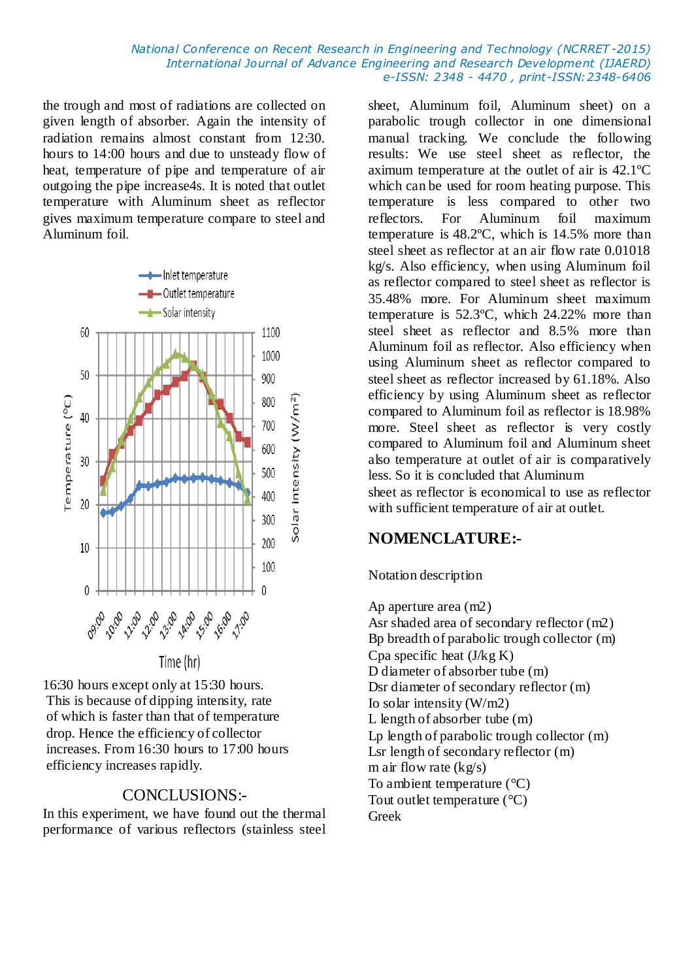the trough and most of radiations are collected on given length of absorber. Again the intensity of radiation remains almost constant from 12:30. hours to 14:00 hours and due to unsteady flow of heat, temperature of pipe and temperature of air outgoing the pipe increase4s. It is noted that outlet temperature with Aluminum sheet as reflector gives maximum temperature compare to steel and Aluminum foil.



Time (hr)

16:30 hours except only at 15:30 hours. This is because of dipping intensity, rate of which is faster than that of temperature drop. Hence the efficiency of collector increases. From 16:30 hours to 17:00 hours efficiency increases rapidly.

#### CONCLUSIONS:-

In this experiment, we have found out the thermal performance of various reflectors (stainless steel

sheet, Aluminum foil, Aluminum sheet) on a parabolic trough collector in one dimensional manual tracking. We conclude the following results: We use steel sheet as reflector, the aximum temperature at the outlet of air is 42.1ºC which can be used for room heating purpose. This temperature is less compared to other two reflectors. For Aluminum foil maximum temperature is 48.2ºC, which is 14.5% more than steel sheet as reflector at an air flow rate 0.01018 kg/s. Also efficiency, when using Aluminum foil as reflector compared to steel sheet as reflector is 35.48% more. For Aluminum sheet maximum temperature is 52.3ºC, which 24.22% more than steel sheet as reflector and 8.5% more than Aluminum foil as reflector. Also efficiency when using Aluminum sheet as reflector compared to steel sheet as reflector increased by 61.18%. Also efficiency by using Aluminum sheet as reflector compared to Aluminum foil as reflector is 18.98% more. Steel sheet as reflector is very costly compared to Aluminum foil and Aluminum sheet also temperature at outlet of air is comparatively less. So it is concluded that Aluminum sheet as reflector is economical to use as reflector with sufficient temperature of air at outlet.

# **NOMENCLATURE:-**

#### Notation description

Ap aperture area (m2) Asr shaded area of secondary reflector (m2) Bp breadth of parabolic trough collector (m) Cpa specific heat (J/kg K) D diameter of absorber tube (m) Dsr diameter of secondary reflector (m) Io solar intensity (W/m2) L length of absorber tube (m) Lp length of parabolic trough collector (m) Lsr length of secondary reflector (m) m air flow rate  $(kg/s)$ To ambient temperature  $(^{\circ}C)$ Tout outlet temperature  $(^{\circ}C)$ Greek